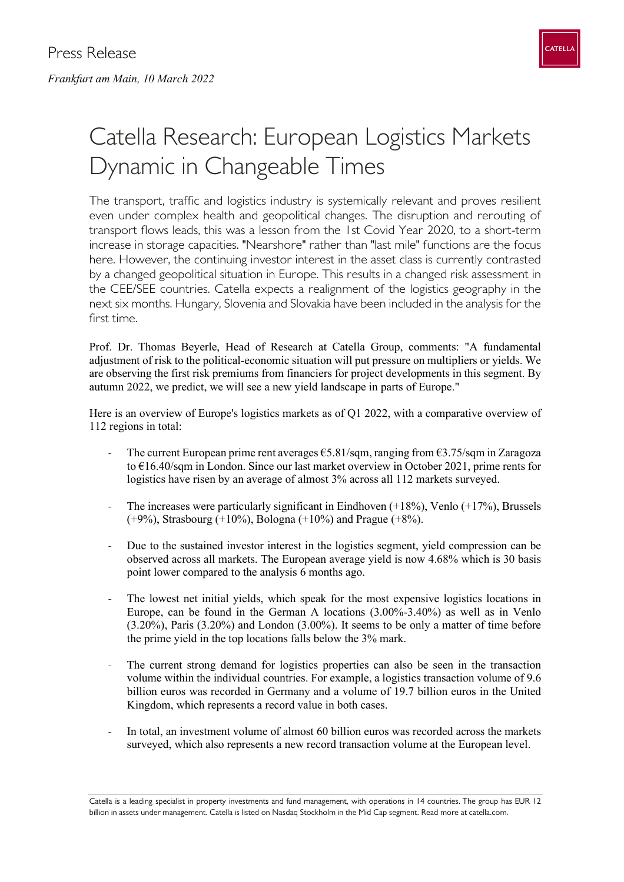

## Catella Research: European Logistics Markets Dynamic in Changeable Times

The transport, traffic and logistics industry is systemically relevant and proves resilient even under complex health and geopolitical changes. The disruption and rerouting of transport flows leads, this was a lesson from the 1st Covid Year 2020, to a short-term increase in storage capacities. "Nearshore" rather than "last mile" functions are the focus here. However, the continuing investor interest in the asset class is currently contrasted by a changed geopolitical situation in Europe. This results in a changed risk assessment in the CEE/SEE countries. Catella expects a realignment of the logistics geography in the next six months. Hungary, Slovenia and Slovakia have been included in the analysis for the first time.

Prof. Dr. Thomas Beyerle, Head of Research at Catella Group, comments: "A fundamental adjustment of risk to the political-economic situation will put pressure on multipliers or yields. We are observing the first risk premiums from financiers for project developments in this segment. By autumn 2022, we predict, we will see a new yield landscape in parts of Europe."

Here is an overview of Europe's logistics markets as of Q1 2022, with a comparative overview of 112 regions in total:

- The current European prime rent averages  $\epsilon$ 5.81/sqm, ranging from  $\epsilon$ 3.75/sqm in Zaragoza to €16.40/sqm in London. Since our last market overview in October 2021, prime rents for logistics have risen by an average of almost 3% across all 112 markets surveyed.
- The increases were particularly significant in Eindhoven  $(+18%)$ , Venlo  $(+17%)$ , Brussels (+9%), Strasbourg (+10%), Bologna (+10%) and Prague (+8%).
- Due to the sustained investor interest in the logistics segment, yield compression can be observed across all markets. The European average yield is now 4.68% which is 30 basis point lower compared to the analysis 6 months ago.
- The lowest net initial yields, which speak for the most expensive logistics locations in Europe, can be found in the German A locations (3.00%-3.40%) as well as in Venlo (3.20%), Paris (3.20%) and London (3.00%). It seems to be only a matter of time before the prime yield in the top locations falls below the 3% mark.
- The current strong demand for logistics properties can also be seen in the transaction volume within the individual countries. For example, a logistics transaction volume of 9.6 billion euros was recorded in Germany and a volume of 19.7 billion euros in the United Kingdom, which represents a record value in both cases.
- In total, an investment volume of almost 60 billion euros was recorded across the markets surveyed, which also represents a new record transaction volume at the European level.

Catella is a leading specialist in property investments and fund management, with operations in 14 countries. The group has EUR 12 billion in assets under management. Catella is listed on Nasdaq Stockholm in the Mid Cap segment. Read more at catella.com.